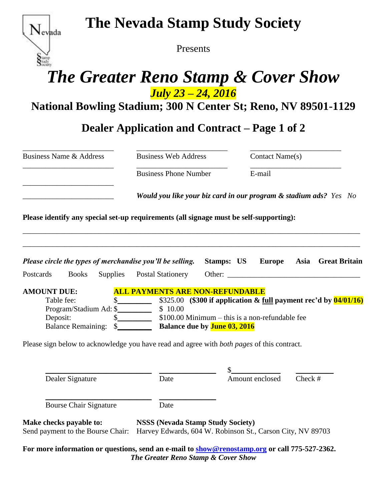

# **The Nevada Stamp Study Society**

Presents

# *The Greater Reno Stamp & Cover Show July 23 – 24, 2016*

**National Bowling Stadium; 300 N Center St; Reno, NV 89501-1129**

**Dealer Application and Contract – Page 1 of 2**

| <b>Business Name &amp; Address</b>                                                                                      | <b>Business Web Address</b>                                                                                     |                                                                                                                                 | Contact Name(s) |           |                    |
|-------------------------------------------------------------------------------------------------------------------------|-----------------------------------------------------------------------------------------------------------------|---------------------------------------------------------------------------------------------------------------------------------|-----------------|-----------|--------------------|
|                                                                                                                         | <b>Business Phone Number</b>                                                                                    |                                                                                                                                 | E-mail          |           |                    |
|                                                                                                                         | Would you like your biz card in our program & stadium ads? Yes No                                               |                                                                                                                                 |                 |           |                    |
| Please identify any special set-up requirements (all signage must be self-supporting):                                  |                                                                                                                 |                                                                                                                                 |                 |           |                    |
| Please circle the types of merchandise you'll be selling.                                                               |                                                                                                                 | <b>Stamps: US Europe</b>                                                                                                        |                 |           | Asia Great Britain |
| Postcards<br><b>Books</b>                                                                                               | Supplies Postal Stationery                                                                                      | Other:                                                                                                                          |                 |           |                    |
| <b>AMOUNT DUE:</b><br>Table fee:<br>Program/Stadium Ad: \$<br>Deposit:                                                  | <b>ALL PAYMENTS ARE NON-REFUNDABLE</b><br>$\frac{\text{S}}{\text{S}}$<br>\$10.00<br>$\frac{\text{S}}{\text{S}}$ | \$325.00 (\$300 if application & full payment rec'd by $\frac{04}{01/16}$ )<br>$$100.00$ Minimum – this is a non-refundable fee |                 |           |                    |
| Please sign below to acknowledge you have read and agree with <i>both pages</i> of this contract.                       |                                                                                                                 |                                                                                                                                 |                 |           |                    |
| Dealer Signature                                                                                                        | Date                                                                                                            | Amount enclosed                                                                                                                 |                 | Check $#$ |                    |
| <b>Bourse Chair Signature</b>                                                                                           | Date                                                                                                            |                                                                                                                                 |                 |           |                    |
| Make checks payable to:<br>Send payment to the Bourse Chair: Harvey Edwards, 604 W. Robinson St., Carson City, NV 89703 | <b>NSSS (Nevada Stamp Study Society)</b>                                                                        |                                                                                                                                 |                 |           |                    |

**For more information or questions, send an e-mail to [show@renostamp.org](mailto:show@renostamp.org) or call 775-527-2362.** *The Greater Reno Stamp & Cover Show*